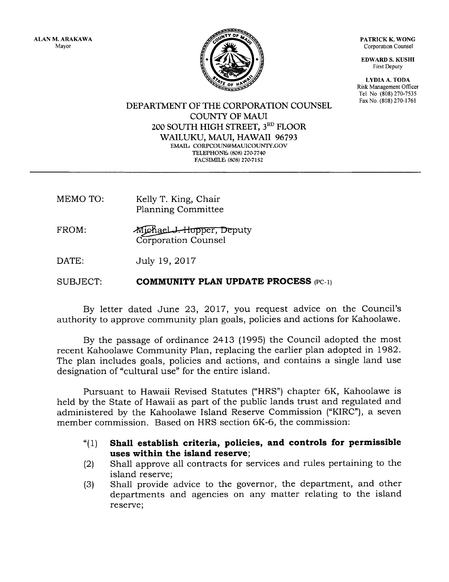ALAN M.ARAKAWA Mayor

PATRICK K. WONG Corporation Counsel

EDWARD S. KUSHI First Deputy

LYDIA A. TODA Risk Management Officer Tel No (808) 270-7535 Fax No. (808) 270-1761



DEPARTMENT OF THE CORPORATION COUNSEL COUNTY OF MAUI 200 SOUTH HIGH STREET, 3RD FLOOR WAILUKU, MAUI, HAWAII 96793 EMAIL: CORPCOUN@MAUICOUNTY.GOV TELEPHONE: (808) 270-7740 FACSIMILE: (808) 270-7152

- MEMO TO: Kelly T. King, Chair Planning Committee
- FROM: Corporation Counsel Michael J. Hopper, Deputy

DATE: July 19, 2Ol7

SUBJECT: COMMUNITY PLAN UPDATE PROCESS  $(PC-1)$ 

By letter dated June 23, 2017, you request advice on the Council's authority to approve community plan goals, policies and actions for Kahoolawe.

By the passage of ordinance 2413 (1995) the Council adopted the most recent Kahoolawe Community Plan, replacing the earlier plan adopted in 1982. The plan includes goals, policies and actions, and contains a single land use designation of "cultural use" for the entire island.

Pursuant to Hawaii Revised Statutes ("HRS") chapter 6K, Kahoolawe is held by the State of Hawaii as part of the public lands trust and regulated and administered by the Kahoolawe Island Reserve Commission ("KIRC"), a seven member commission. Based on HRS section 6K-6, the commission:

- $(1)$ Shall establish criteria, policies, and controls for permissible uses within the island reserve;
- (2) Shall approve all contracts for services and rules pertaining to the island reserve;
- (3) Shatl provide advice to the governor, the department, and other departments and agencies on any matter relating to the island reserve;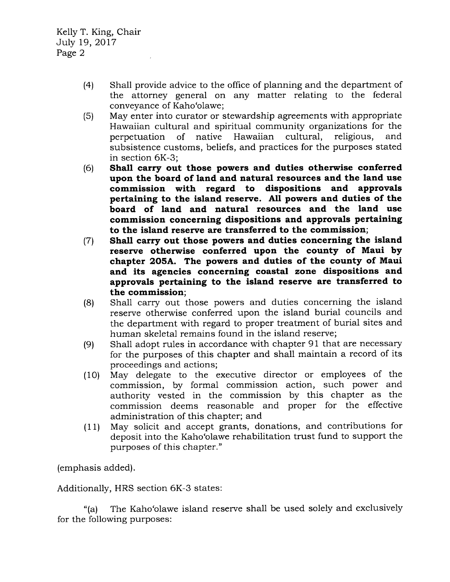- (4) Shall provide advice to the office of planning and the department of the attorney general on any matter relating to the federal conveyance of Kaho'olawe;
- (5) May enter into curator or stewardship agreements with appropriate Hawaiian cultural and spiritual community organizations for the perpetuation of native Hawaiian cultural, religious, and subsistence customs, beliefs, and practices for the purposes stated in section 6K-3;
- (6) Shall carry out those powers and duties otherwise conferred upon the board of land and natural resources and the land use commission with regard to dispositions and approvals pertaining to the island reserve. All powers and duties of the board of land and natural resources and the land use commission concerning dispositions and approvals pertaining to the island reserve are transferred to the commission;
- (7) Shall carry out those powers and duties concerning the island reserve otherwise conferred upon the county of Maui by chapter 2OSA. The powers and duties of the county of Maui and its agencies concerning coastal zone dispositions and approvals pertaining to the island tesenre are transferred to the commission;
- (8) Shall carry out those powers and duties concerning the island reserve otherwise conferred upon the island burial councils and the department with regard to proper treatment of burial sites and human skeletal remains found in the island reserve;
- (9) Shall adopt rules in accordance with chapter 91 that are necessary for the purposes of this chapter and shall maintain a record of its proceedings and actions;
- (10) May delegate to the executive director or employees of the commission, by formal commission action, such power and authority vested in the commission by this chapter as the commission deems reasonable and proper for the effective administration of this chapter; and
- (11) May solicit and accept grants, donations, and contributions for deposit into the Kaho'olawe rehabilitation trust fund to support the purposes of this chapter."

(emphasis added).

Additionally, HRS section 6K-3 states:

"(a) The Kaho'olawe island reserve shall be used solely and exclusively for the following purposes: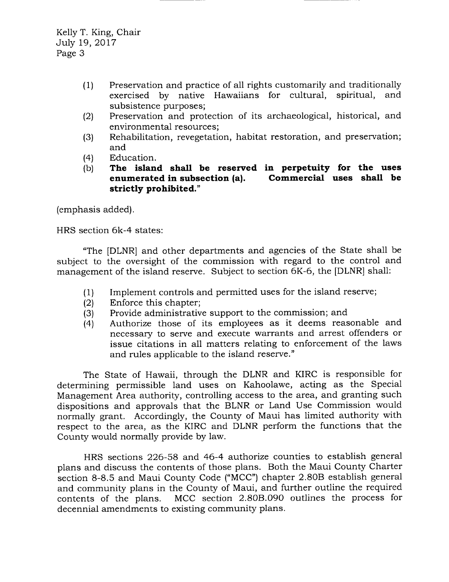Kelly T. King, Chair July 19,2Ol7 Page 3

- (1) Preservation and practice of all rights customarily and traditionally<br>exercised by native Hawaiians for cultural, spiritual, and exercised by native Hawaiians for cultural, subsistence purposes;
- $(2)$ Preservation and protection of its archaeological, historical, and environmental resources ;
- (3) Rehabilitation, revegetation, habitat restoration, and preservation; and
- (4) Education.
- (b) The island shall be reserved in perpetuity for the uses<br>enumerated in subsection (a). Commercial uses shall be Commercial uses shall be strictly prohibited."

(emphasis added)

HRS section 6k-4 states:

"The IDLNR] and other departments and agencies of the State shall be subject to the oversight of the commission with regard to the control and management of the island reserve. Subject to section 6K-6, the [DLNR] shall:

- (1) Implement controls and permitted uses for the island reserve;
- (2) Enforce this chapter;
- (3) Provide administrative support to the commission; and
- (4) Authorize those of its employees as it deems reasonable and necessary to serve and execute warrants and arrest offenders or issue citations in all matters relating to enforcement of the laws and rules applicable to the island reserve."

The State of Hawaii, through the DLNR and KIRC is responsible for determining permissible land uses on Kahoolawe, acting as the Special Management Area authority, controlling access to the area, and granting such dispositions and approvals that the BLNR or Land Use Commission would normally grant. Accordingly, the County of Maui has limited authority with respect to the area, as the KIRC and DLNR perform the functions that the County would normally provide by law.

HRS sections 226-58 and 46-4 authorize counties to establish general plans and discuss the contents of those plans. Both the Maui County Charter section 8-8.5 and Maui County Code ("MCC") chapter 2.808 establish general and community plans in the County of Maui, and further outline the required contents of the plans. MCC section 2.8OB.O9O outlines the process for decennial amendments to existing community plans.